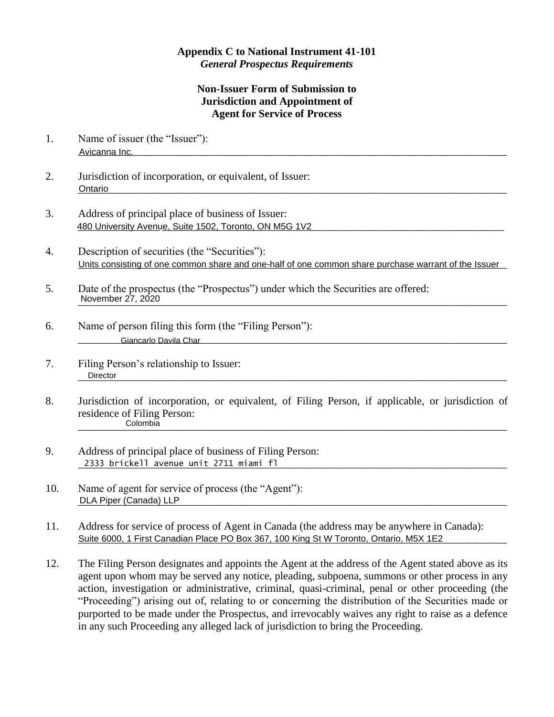## **Appendix C to National Instrument 41-101** *General Prospectus Requirements*

## **Non-Issuer Form of Submission to Jurisdiction and Appointment of Agent for Service of Process**

- 1. Name of issuer (the "Issuer"): \_\_\_\_\_\_\_\_\_\_\_\_\_\_\_\_\_\_\_\_\_\_\_\_\_\_\_\_\_\_\_\_\_\_\_\_\_\_\_\_\_\_\_\_\_\_\_\_\_\_\_\_\_\_\_\_\_\_\_\_\_\_\_\_\_\_\_\_\_\_\_\_\_\_\_\_\_\_\_ Avicanna Inc.
- 2. Jurisdiction of incorporation, or equivalent, of Issuer: \_\_\_\_\_\_\_\_\_\_\_\_\_\_\_\_\_\_\_\_\_\_\_\_\_\_\_\_\_\_\_\_\_\_\_\_\_\_\_\_\_\_\_\_\_\_\_\_\_\_\_\_\_\_\_\_\_\_\_\_\_\_\_\_\_\_\_\_\_\_\_\_\_\_\_\_\_\_\_ Ontario
- 3. Address of principal place of business of Issuer: 480 University Avenue, Suite 1502, Toronto, ON M5G 1V2 **Contained and Contained Avenue Contained and Contained A**
- 4. Description of securities (the "Securities"): Units consisting of one common share and one-half of one common share purchase warrant of the Issuer
- 5. Date of the prospectus (the "Prospectus") under which the Securities are offered: \_\_\_\_\_\_\_\_\_\_\_\_\_\_\_\_\_\_\_\_\_\_\_\_\_\_\_\_\_\_\_\_\_\_\_\_\_\_\_\_\_\_\_\_\_\_\_\_\_\_\_\_\_\_\_\_\_\_\_\_\_\_\_\_\_\_\_\_\_\_\_\_\_\_\_\_\_\_\_ November 27, 2020
- 6. Name of person filing this form (the "Filing Person"): \_\_\_\_\_\_\_\_\_\_\_\_\_\_\_\_\_\_\_\_\_\_\_\_\_\_\_\_\_\_\_\_\_\_\_\_\_\_\_\_\_\_\_\_\_\_\_\_\_\_\_\_\_\_\_\_\_\_\_\_\_\_\_\_\_\_\_\_\_\_\_\_\_\_\_\_\_\_\_ Giancarlo Davila Char
- 7. Filing Person's relationship to Issuer: \_\_\_\_\_\_\_\_\_\_\_\_\_\_\_\_\_\_\_\_\_\_\_\_\_\_\_\_\_\_\_\_\_\_\_\_\_\_\_\_\_\_\_\_\_\_\_\_\_\_\_\_\_\_\_\_\_\_\_\_\_\_\_\_\_\_\_\_\_\_\_\_\_\_\_\_\_\_\_ Director
- 8. Jurisdiction of incorporation, or equivalent, of Filing Person, if applicable, or jurisdiction of residence of Filing Person: \_\_\_\_\_\_\_\_\_\_\_\_\_\_\_\_\_\_\_\_\_\_\_\_\_\_\_\_\_\_\_\_\_\_\_\_\_\_\_\_\_\_\_\_\_\_\_\_\_\_\_\_\_\_\_\_\_\_\_\_\_\_\_\_\_\_\_\_\_\_\_\_\_\_\_\_\_\_\_ Colombia
- 9. Address of principal place of business of Filing Person: \_\_\_\_\_\_\_\_\_\_\_\_\_\_\_\_\_\_\_\_\_\_\_\_\_\_\_\_\_\_\_\_\_\_\_\_\_\_\_\_\_\_\_\_\_\_\_\_\_\_\_\_\_\_\_\_\_\_\_\_\_\_\_\_\_\_\_\_\_\_\_\_\_\_\_\_\_\_\_ 2333 brickell avenue unit 2711 miami fl
- 10. Name of agent for service of process (the "Agent"): \_\_\_\_\_\_\_\_\_\_\_\_\_\_\_\_\_\_\_\_\_\_\_\_\_\_\_\_\_\_\_\_\_\_\_\_\_\_\_\_\_\_\_\_\_\_\_\_\_\_\_\_\_\_\_\_\_\_\_\_\_\_\_\_\_\_\_\_\_\_\_\_\_\_\_\_\_\_\_ DLA Piper (Canada) LLP
- 11. Address for service of process of Agent in Canada (the address may be anywhere in Canada): Suite 6000, 1 First Canadian Place PO Box 367, 100 King St W Toronto, Ontario, M5X 1E2
- 12. The Filing Person designates and appoints the Agent at the address of the Agent stated above as its agent upon whom may be served any notice, pleading, subpoena, summons or other process in any action, investigation or administrative, criminal, quasi-criminal, penal or other proceeding (the "Proceeding") arising out of, relating to or concerning the distribution of the Securities made or purported to be made under the Prospectus, and irrevocably waives any right to raise as a defence in any such Proceeding any alleged lack of jurisdiction to bring the Proceeding.